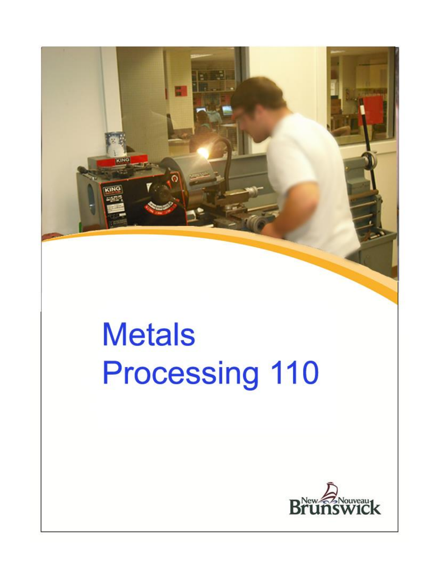

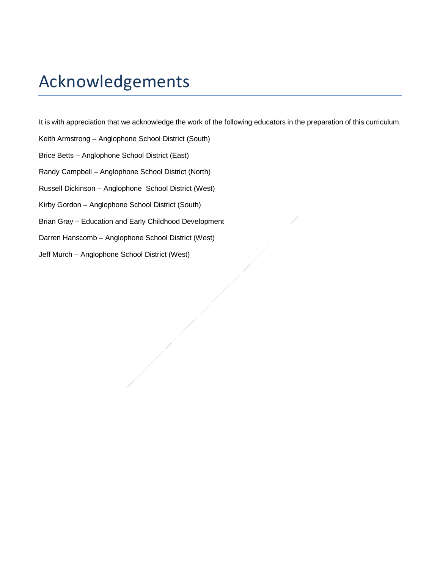# Acknowledgements

It is with appreciation that we acknowledge the work of the following educators in the preparation of this curriculum.

- Keith Armstrong Anglophone School District (South)
- Brice Betts Anglophone School District (East)
- Randy Campbell Anglophone School District (North)
- Russell Dickinson Anglophone School District (West)
- Kirby Gordon Anglophone School District (South)
- Brian Gray Education and Early Childhood Development
- Darren Hanscomb Anglophone School District (West)
- Jeff Murch Anglophone School District (West)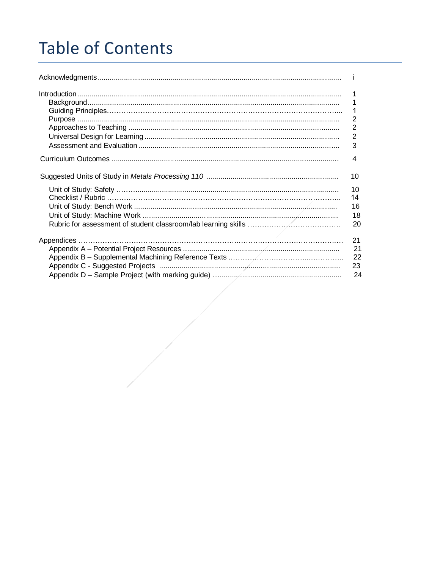# **Table of Contents**

| $\overline{2}$<br>3        |
|----------------------------|
| 4                          |
| 10                         |
| 10<br>14<br>16<br>18<br>20 |
| 21<br>21<br>22<br>23<br>24 |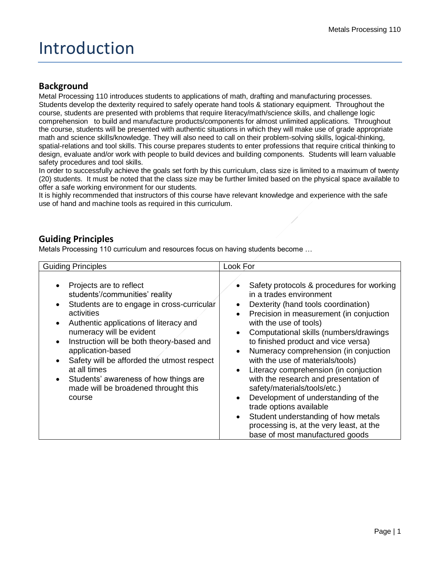# Introduction

### **Background**

Metal Processing 110 introduces students to applications of math, drafting and manufacturing processes. Students develop the dexterity required to safely operate hand tools & stationary equipment. Throughout the course, students are presented with problems that require literacy/math/science skills, and challenge logic comprehension to build and manufacture products/components for almost unlimited applications. Throughout the course, students will be presented with authentic situations in which they will make use of grade appropriate math and science skills/knowledge. They will also need to call on their problem-solving skills, logical-thinking, spatial-relations and tool skills. This course prepares students to enter professions that require critical thinking to design, evaluate and/or work with people to build devices and building components. Students will learn valuable safety procedures and tool skills.

In order to successfully achieve the goals set forth by this curriculum, class size is limited to a maximum of twenty (20) students. It must be noted that the class size may be further limited based on the physical space available to offer a safe working environment for our students.

It is highly recommended that instructors of this course have relevant knowledge and experience with the safe use of hand and machine tools as required in this curriculum.

### **Guiding Principles**

Metals Processing 110 curriculum and resources focus on having students become …

| <b>Guiding Principles</b>                                                                                                                                                                                                                                                                                                                                                                                                                                                                            | Look For                                                                                                                                                                                                                                                                                                                                                                                                                                                                                                                                                                                                                                                              |
|------------------------------------------------------------------------------------------------------------------------------------------------------------------------------------------------------------------------------------------------------------------------------------------------------------------------------------------------------------------------------------------------------------------------------------------------------------------------------------------------------|-----------------------------------------------------------------------------------------------------------------------------------------------------------------------------------------------------------------------------------------------------------------------------------------------------------------------------------------------------------------------------------------------------------------------------------------------------------------------------------------------------------------------------------------------------------------------------------------------------------------------------------------------------------------------|
| Projects are to reflect<br>$\bullet$<br>students'/communities' reality<br>Students are to engage in cross-curricular<br>$\bullet$<br>activities<br>Authentic applications of literacy and<br>$\bullet$<br>numeracy will be evident<br>Instruction will be both theory-based and<br>$\bullet$<br>application-based<br>Safety will be afforded the utmost respect<br>$\bullet$<br>at all times<br>Students' awareness of how things are<br>$\bullet$<br>made will be broadened throught this<br>course | Safety protocols & procedures for working<br>in a trades environment<br>Dexterity (hand tools coordination)<br>Precision in measurement (in conjuction<br>with the use of tools)<br>Computational skills (numbers/drawings<br>to finished product and vice versa)<br>Numeracy comprehension (in conjuction<br>with the use of materials/tools)<br>Literacy comprehension (in conjuction<br>with the research and presentation of<br>safety/materials/tools/etc.)<br>Development of understanding of the<br>trade options available<br>Student understanding of how metals<br>$\bullet$<br>processing is, at the very least, at the<br>base of most manufactured goods |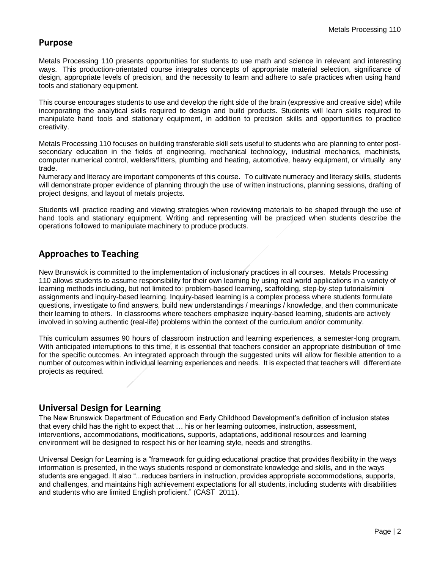### **Purpose**

Metals Processing 110 presents opportunities for students to use math and science in relevant and interesting ways. This production-orientated course integrates concepts of appropriate material selection, significance of design, appropriate levels of precision, and the necessity to learn and adhere to safe practices when using hand tools and stationary equipment.

This course encourages students to use and develop the right side of the brain (expressive and creative side) while incorporating the analytical skills required to design and build products. Students will learn skills required to manipulate hand tools and stationary equipment, in addition to precision skills and opportunities to practice creativity.

Metals Processing 110 focuses on building transferable skill sets useful to students who are planning to enter postsecondary education in the fields of engineering, mechanical technology, industrial mechanics, machinists, computer numerical control, welders/fitters, plumbing and heating, automotive, heavy equipment, or virtually any trade.

Numeracy and literacy are important components of this course. To cultivate numeracy and literacy skills, students will demonstrate proper evidence of planning through the use of written instructions, planning sessions, drafting of project designs, and layout of metals projects.

Students will practice reading and viewing strategies when reviewing materials to be shaped through the use of hand tools and stationary equipment. Writing and representing will be practiced when students describe the operations followed to manipulate machinery to produce products.

### **Approaches to Teaching**

New Brunswick is committed to the implementation of inclusionary practices in all courses. Metals Processing 110 allows students to assume responsibility for their own learning by using real world applications in a variety of learning methods including, but not limited to: problem-based learning, scaffolding, step-by-step tutorials/mini assignments and inquiry-based learning. Inquiry-based learning is a complex process where students formulate questions, investigate to find answers, build new understandings / meanings / knowledge, and then communicate their learning to others. In classrooms where teachers emphasize inquiry-based learning, students are actively involved in solving authentic (real-life) problems within the context of the curriculum and/or community.

This curriculum assumes 90 hours of classroom instruction and learning experiences, a semester-long program. With anticipated interruptions to this time, it is essential that teachers consider an appropriate distribution of time for the specific outcomes. An integrated approach through the suggested units will allow for flexible attention to a number of outcomes within individual learning experiences and needs. It is expected that teachers will differentiate projects as required.

### **Universal Design for Learning**

The New Brunswick Department of Education and Early Childhood Development's definition of inclusion states that every child has the right to expect that … his or her learning outcomes, instruction, assessment, interventions, accommodations, modifications, supports, adaptations, additional resources and learning environment will be designed to respect his or her learning style, needs and strengths.

Universal Design for Learning is a "framework for guiding educational practice that provides flexibility in the ways information is presented, in the ways students respond or demonstrate knowledge and skills, and in the ways students are engaged. It also "...reduces barriers in instruction, provides appropriate accommodations, supports, and challenges, and maintains high achievement expectations for all students, including students with disabilities and students who are limited English proficient." (CAST 2011).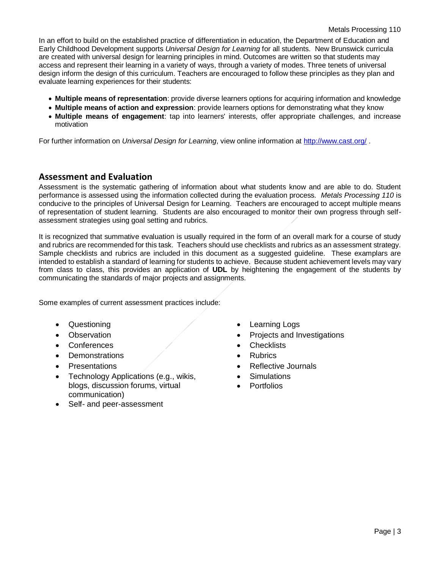In an effort to build on the established practice of differentiation in education, the Department of Education and Early Childhood Development supports *Universal Design for Learning* for all students. New Brunswick curricula are created with universal design for learning principles in mind. Outcomes are written so that students may access and represent their learning in a variety of ways, through a variety of modes. Three tenets of universal design inform the design of this curriculum. Teachers are encouraged to follow these principles as they plan and evaluate learning experiences for their students:

- **Multiple means of representation**: provide diverse learners options for acquiring information and knowledge
- **Multiple means of action and expression**: provide learners options for demonstrating what they know
- **Multiple means of engagement**: tap into learners' interests, offer appropriate challenges, and increase motivation

For further information on *Universal Design for Learning*, view online information at<http://www.cast.org/> .

### **Assessment and Evaluation**

Assessment is the systematic gathering of information about what students know and are able to do. Student performance is assessed using the information collected during the evaluation process. *Metals Processing 110* is conducive to the principles of Universal Design for Learning. Teachers are encouraged to accept multiple means of representation of student learning. Students are also encouraged to monitor their own progress through selfassessment strategies using goal setting and rubrics.

It is recognized that summative evaluation is usually required in the form of an overall mark for a course of study and rubrics are recommended for this task. Teachers should use checklists and rubrics as an assessment strategy. Sample checklists and rubrics are included in this document as a suggested guideline. These examplars are intended to establish a standard of learning for students to achieve. Because student achievement levels may vary from class to class, this provides an application of **UDL** by heightening the engagement of the students by communicating the standards of major projects and assignments.

Some examples of current assessment practices include:

- 
- 
- Conferences Checklists
- Demonstrations  $\sqrt{ }$  Rubrics
- 
- Technology Applications (e.g., wikis, blogs, discussion forums, virtual communication)
- Self- and peer-assessment
- Questioning **•** Learning Logs
- Observation **Projects and Investigations** 
	-
	-
	- **Presentations Allen Access Reflective Journals** 
		- Simulations
		- Portfolios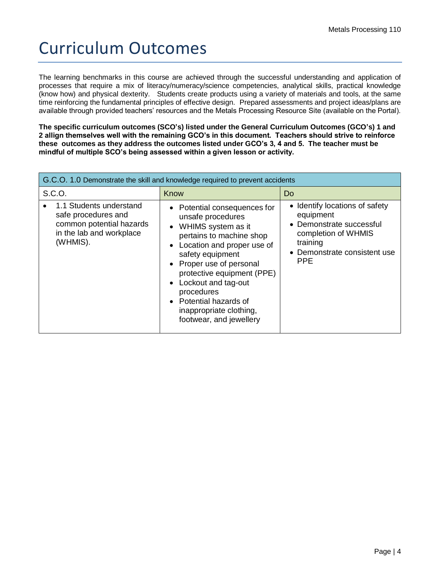# Curriculum Outcomes

The learning benchmarks in this course are achieved through the successful understanding and application of processes that require a mix of literacy/numeracy/science competencies, analytical skills, practical knowledge (know how) and physical dexterity. Students create products using a variety of materials and tools, at the same time reinforcing the fundamental principles of effective design. Prepared assessments and project ideas/plans are available through provided teachers' resources and the Metals Processing Resource Site (available on the Portal).

**The specific curriculum outcomes (SCO's) listed under the General Curriculum Outcomes (GCO's) 1 and 2 allign themselves well with the remaining GCO's in this document. Teachers should strive to reinforce these outcomes as they address the outcomes listed under GCO's 3, 4 and 5. The teacher must be mindful of multiple SCO's being assessed within a given lesson or activity.**

| G.C.O. 1.0 Demonstrate the skill and knowledge required to prevent accidents                                       |                                                                                                                                                                                                                                                                                                                                          |                                                                                                                                                          |
|--------------------------------------------------------------------------------------------------------------------|------------------------------------------------------------------------------------------------------------------------------------------------------------------------------------------------------------------------------------------------------------------------------------------------------------------------------------------|----------------------------------------------------------------------------------------------------------------------------------------------------------|
| S.C.O.                                                                                                             | Know                                                                                                                                                                                                                                                                                                                                     | Do                                                                                                                                                       |
| 1.1 Students understand<br>safe procedures and<br>common potential hazards<br>in the lab and workplace<br>(WHMIS). | • Potential consequences for<br>unsafe procedures<br>• WHIMS system as it<br>pertains to machine shop<br>Location and proper use of<br>safety equipment<br>• Proper use of personal<br>protective equipment (PPE)<br>• Lockout and tag-out<br>procedures<br>• Potential hazards of<br>inappropriate clothing,<br>footwear, and jewellery | • Identify locations of safety<br>equipment<br>• Demonstrate successful<br>completion of WHMIS<br>training<br>• Demonstrate consistent use<br><b>PPE</b> |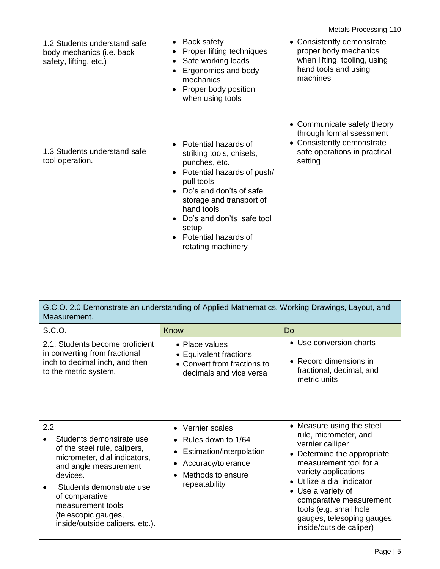Metals Processing 110

| 1.2 Students understand safe<br>body mechanics (i.e. back<br>safety, lifting, etc.)                                                                                                                                                                               | <b>Back safety</b><br>٠<br>Proper lifting techniques<br>Safe working loads<br>Ergonomics and body<br>mechanics<br>Proper body position<br>$\bullet$<br>when using tools                                                                                                  | • Consistently demonstrate<br>proper body mechanics<br>when lifting, tooling, using<br>hand tools and using<br>machines                                                                                                                                                                                                   |
|-------------------------------------------------------------------------------------------------------------------------------------------------------------------------------------------------------------------------------------------------------------------|--------------------------------------------------------------------------------------------------------------------------------------------------------------------------------------------------------------------------------------------------------------------------|---------------------------------------------------------------------------------------------------------------------------------------------------------------------------------------------------------------------------------------------------------------------------------------------------------------------------|
| 1.3 Students understand safe<br>tool operation.                                                                                                                                                                                                                   | Potential hazards of<br>striking tools, chisels,<br>punches, etc.<br>• Potential hazards of push/<br>pull tools<br>Do's and don'ts of safe<br>storage and transport of<br>hand tools<br>Do's and don'ts safe tool<br>setup<br>Potential hazards of<br>rotating machinery | • Communicate safety theory<br>through formal ssessment<br>• Consistently demonstrate<br>safe operations in practical<br>setting                                                                                                                                                                                          |
| Measurement.                                                                                                                                                                                                                                                      | G.C.O. 2.0 Demonstrate an understanding of Applied Mathematics, Working Drawings, Layout, and                                                                                                                                                                            |                                                                                                                                                                                                                                                                                                                           |
| S.C.O.                                                                                                                                                                                                                                                            | Know                                                                                                                                                                                                                                                                     | Do                                                                                                                                                                                                                                                                                                                        |
| 2.1. Students become proficient<br>in converting from fractional<br>inch to decimal inch, and then<br>to the metric system.                                                                                                                                       | • Place values<br><b>Equivalent fractions</b><br>• Convert from fractions to<br>decimals and vice versa                                                                                                                                                                  | • Use conversion charts<br>• Record dimensions in<br>fractional, decimal, and<br>metric units                                                                                                                                                                                                                             |
| 2.2<br>Students demonstrate use<br>of the steel rule, calipers,<br>micrometer, dial indicators,<br>and angle measurement<br>devices.<br>Students demonstrate use<br>of comparative<br>measurement tools<br>(telescopic gauges,<br>inside/outside calipers, etc.). | • Vernier scales<br>Rules down to 1/64<br>Estimation/interpolation<br>Accuracy/tolerance<br>Methods to ensure<br>repeatability                                                                                                                                           | • Measure using the steel<br>rule, micrometer, and<br>vernier calliper<br>• Determine the appropriate<br>measurement tool for a<br>variety applications<br>• Utilize a dial indicator<br>• Use a variety of<br>comparative measurement<br>tools (e.g. small hole<br>gauges, telesoping gauges,<br>inside/outside caliper) |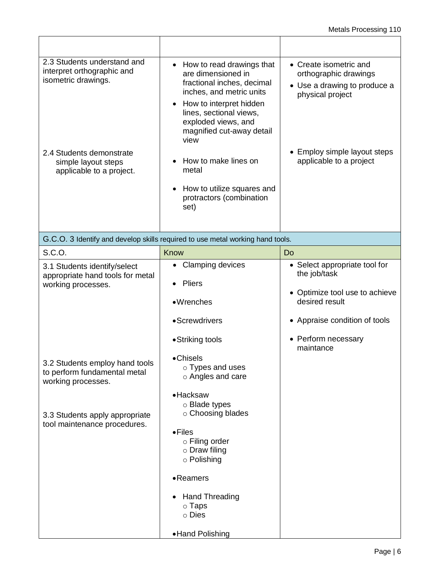٦

| 2.3 Students understand and<br>interpret orthographic and<br>isometric drawings.<br>2.4 Students demonstrate<br>simple layout steps<br>applicable to a project. | • How to read drawings that<br>are dimensioned in<br>fractional inches, decimal<br>inches, and metric units<br>How to interpret hidden<br>lines, sectional views,<br>exploded views, and<br>magnified cut-away detail<br>view<br>How to make lines on<br>metal<br>How to utilize squares and<br>protractors (combination<br>set) | • Create isometric and<br>orthographic drawings<br>• Use a drawing to produce a<br>physical project<br>Employ simple layout steps<br>applicable to a project           |
|-----------------------------------------------------------------------------------------------------------------------------------------------------------------|----------------------------------------------------------------------------------------------------------------------------------------------------------------------------------------------------------------------------------------------------------------------------------------------------------------------------------|------------------------------------------------------------------------------------------------------------------------------------------------------------------------|
|                                                                                                                                                                 | G.C.O. 3 Identify and develop skills required to use metal working hand tools.                                                                                                                                                                                                                                                   |                                                                                                                                                                        |
| S.C.O.                                                                                                                                                          | Know                                                                                                                                                                                                                                                                                                                             | Do                                                                                                                                                                     |
| 3.1 Students identify/select<br>appropriate hand tools for metal<br>working processes.                                                                          | • Clamping devices<br>Pliers<br>•Wrenches<br>•Screwdrivers<br>•Striking tools                                                                                                                                                                                                                                                    | • Select appropriate tool for<br>the job/task<br>• Optimize tool use to achieve<br>desired result<br>• Appraise condition of tools<br>• Perform necessary<br>maintance |
| 3.2 Students employ hand tools<br>to perform fundamental metal<br>working processes.<br>3.3 Students apply appropriate<br>tool maintenance procedures.          | •Chisels<br>○ Types and uses<br>o Angles and care<br>$\bullet$ Hacksaw<br>○ Blade types<br>o Choosing blades<br>$\bullet$ Files<br>$\circ$ Filing order<br>$\circ$ Draw filing<br>o Polishing<br>•Reamers<br><b>Hand Threading</b><br>$\circ$ Taps<br>$\circ$ Dies<br>• Hand Polishing                                           |                                                                                                                                                                        |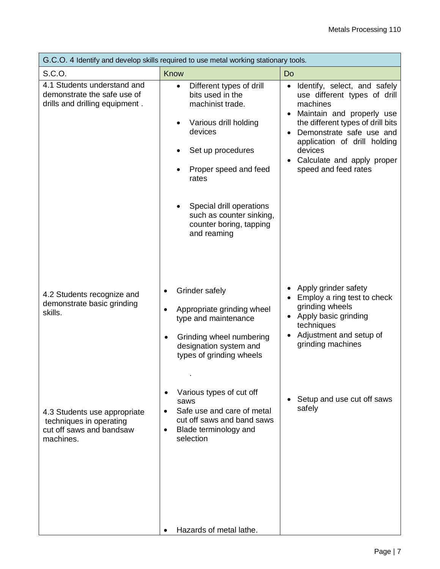| G.C.O. 4 Identify and develop skills required to use metal working stationary tools.             |                                                                                                                                                                                                                                                                            |                                                                                                                                                                                                                                                                                                   |  |
|--------------------------------------------------------------------------------------------------|----------------------------------------------------------------------------------------------------------------------------------------------------------------------------------------------------------------------------------------------------------------------------|---------------------------------------------------------------------------------------------------------------------------------------------------------------------------------------------------------------------------------------------------------------------------------------------------|--|
| S.C.O.                                                                                           | Know                                                                                                                                                                                                                                                                       | Do                                                                                                                                                                                                                                                                                                |  |
| 4.1 Students understand and<br>demonstrate the safe use of<br>drills and drilling equipment.     | Different types of drill<br>$\bullet$<br>bits used in the<br>machinist trade.<br>Various drill holding<br>devices<br>Set up procedures<br>Proper speed and feed<br>rates<br>Special drill operations<br>such as counter sinking,<br>counter boring, tapping<br>and reaming | Identify, select, and safely<br>$\bullet$<br>use different types of drill<br>machines<br>Maintain and properly use<br>the different types of drill bits<br>Demonstrate safe use and<br>application of drill holding<br>devices<br>Calculate and apply proper<br>$\bullet$<br>speed and feed rates |  |
| 4.2 Students recognize and<br>demonstrate basic grinding<br>skills.                              | Grinder safely<br>Appropriate grinding wheel<br>type and maintenance<br>Grinding wheel numbering<br>designation system and<br>types of grinding wheels<br>Various types of cut off                                                                                         | Apply grinder safety<br>Employ a ring test to check<br>grinding wheels<br>Apply basic grinding<br>$\bullet$<br>techniques<br>Adjustment and setup of<br>$\bullet$<br>grinding machines                                                                                                            |  |
| 4.3 Students use appropriate<br>techniques in operating<br>cut off saws and bandsaw<br>machines. | saws<br>Safe use and care of metal<br>cut off saws and band saws<br>Blade terminology and<br>$\bullet$<br>selection<br>Hazards of metal lathe.                                                                                                                             | Setup and use cut off saws<br>safely                                                                                                                                                                                                                                                              |  |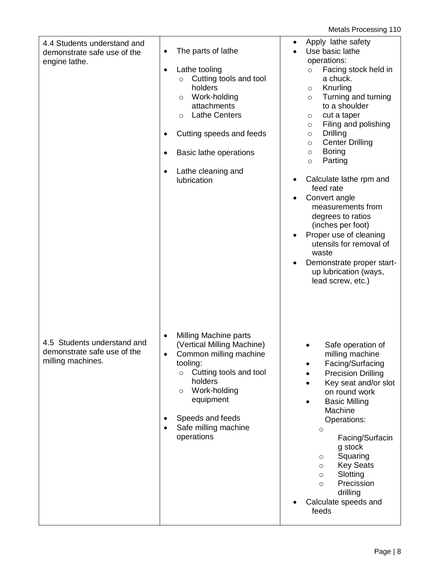Metals Processing 110

| 4.4 Students understand and<br>demonstrate safe use of the<br>engine lathe.     | The parts of lathe<br>$\bullet$<br>Lathe tooling<br>$\bullet$<br>Cutting tools and tool<br>$\circ$<br>holders<br>Work-holding<br>$\circ$<br>attachments<br><b>Lathe Centers</b><br>$\circ$<br>Cutting speeds and feeds<br>Basic lathe operations<br>$\bullet$<br>Lathe cleaning and<br>lubrication | Apply lathe safety<br>Use basic lathe<br>operations:<br>Facing stock held in<br>$\circ$<br>a chuck.<br>Knurling<br>$\circ$<br>Turning and turning<br>$\circ$<br>to a shoulder<br>cut a taper<br>$\circ$<br>Filing and polishing<br>$\circ$<br><b>Drilling</b><br>$\circ$<br><b>Center Drilling</b><br>$\circ$<br><b>Boring</b><br>$\circ$<br>Parting<br>$\circ$<br>Calculate lathe rpm and<br>feed rate<br>Convert angle<br>measurements from<br>degrees to ratios<br>(inches per foot)<br>Proper use of cleaning<br>utensils for removal of<br>waste<br>Demonstrate proper start-<br>up lubrication (ways,<br>lead screw, etc.) |
|---------------------------------------------------------------------------------|----------------------------------------------------------------------------------------------------------------------------------------------------------------------------------------------------------------------------------------------------------------------------------------------------|----------------------------------------------------------------------------------------------------------------------------------------------------------------------------------------------------------------------------------------------------------------------------------------------------------------------------------------------------------------------------------------------------------------------------------------------------------------------------------------------------------------------------------------------------------------------------------------------------------------------------------|
| 4.5 Students understand and<br>demonstrate safe use of the<br>milling machines. | Milling Machine parts<br>$\bullet$<br>(Vertical Milling Machine)<br>Common milling machine<br>$\bullet$<br>tooling:<br>Cutting tools and tool<br>$\circ$<br>holders<br>Work-holding<br>$\circ$<br>equipment<br>Speeds and feeds<br>Safe milling machine<br>operations                              | Safe operation of<br>milling machine<br>Facing/Surfacing<br><b>Precision Drilling</b><br>Key seat and/or slot<br>on round work<br><b>Basic Milling</b><br>Machine<br>Operations:<br>$\circ$<br>Facing/Surfacin<br>g stock<br>Squaring<br>$\circ$<br><b>Key Seats</b><br>$\circ$<br>Slotting<br>$\circ$<br>Precission<br>$\circ$<br>drilling<br>Calculate speeds and<br>feeds                                                                                                                                                                                                                                                     |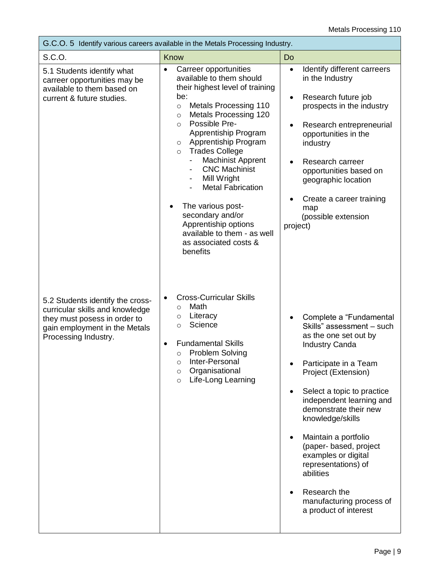| G.C.O. 5 Identify various careers available in the Metals Processing Industry.                                                                               |                                                                                                                                                                                                                                                                                                                                                                                                                                                                                                                                                                                               |                                                                                                                                                                                                                                                                                                                                                                                                                                                 |  |
|--------------------------------------------------------------------------------------------------------------------------------------------------------------|-----------------------------------------------------------------------------------------------------------------------------------------------------------------------------------------------------------------------------------------------------------------------------------------------------------------------------------------------------------------------------------------------------------------------------------------------------------------------------------------------------------------------------------------------------------------------------------------------|-------------------------------------------------------------------------------------------------------------------------------------------------------------------------------------------------------------------------------------------------------------------------------------------------------------------------------------------------------------------------------------------------------------------------------------------------|--|
| S.C.O.                                                                                                                                                       | Know                                                                                                                                                                                                                                                                                                                                                                                                                                                                                                                                                                                          | Do                                                                                                                                                                                                                                                                                                                                                                                                                                              |  |
| 5.1 Students identify what<br>carreer opportunities may be<br>available to them based on<br>current & future studies.                                        | Carreer opportunities<br>$\bullet$<br>available to them should<br>their highest level of training<br>be:<br><b>Metals Processing 110</b><br>$\circ$<br><b>Metals Processing 120</b><br>$\circ$<br>Possible Pre-<br>$\circ$<br>Apprentiship Program<br>Apprentiship Program<br>$\circ$<br><b>Trades College</b><br>$\circ$<br><b>Machinist Apprent</b><br><b>CNC Machinist</b><br>Mill Wright<br>$\qquad \qquad \blacksquare$<br><b>Metal Fabrication</b><br>The various post-<br>secondary and/or<br>Apprentiship options<br>available to them - as well<br>as associated costs &<br>benefits | Identify different carreers<br>$\bullet$<br>in the Industry<br>Research future job<br>$\bullet$<br>prospects in the industry<br>Research entrepreneurial<br>opportunities in the<br>industry<br>Research carreer<br>opportunities based on<br>geographic location<br>Create a career training<br>map<br>(possible extension<br>project)                                                                                                         |  |
| 5.2 Students identify the cross-<br>curricular skills and knowledge<br>they must posess in order to<br>gain employment in the Metals<br>Processing Industry. | <b>Cross-Curricular Skills</b><br>٠<br>Math<br>$\circ$<br>Literacy<br>$\circ$<br>Science<br>$\circ$<br><b>Fundamental Skills</b><br><b>Problem Solving</b><br>$\circ$<br>Inter-Personal<br>$\circ$<br>Organisational<br>$\circ$<br>Life-Long Learning<br>$\circ$                                                                                                                                                                                                                                                                                                                              | Complete a "Fundamental<br>Skills" assessment - such<br>as the one set out by<br><b>Industry Canda</b><br>Participate in a Team<br>Project (Extension)<br>Select a topic to practice<br>independent learning and<br>demonstrate their new<br>knowledge/skills<br>Maintain a portfolio<br>(paper- based, project<br>examples or digital<br>representations) of<br>abilities<br>Research the<br>manufacturing process of<br>a product of interest |  |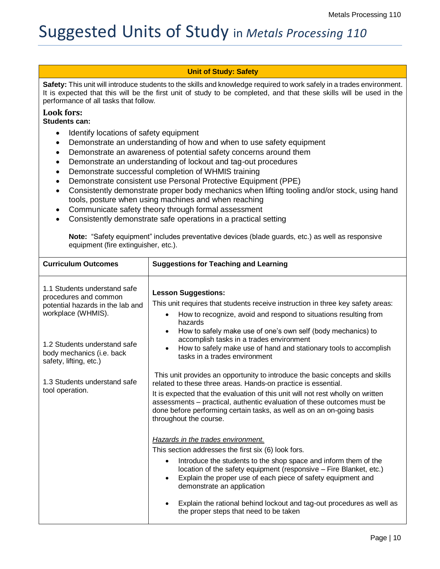## Suggested Units of Study in *Metals Processing 110*

### **Unit of Study: Safety**

**Safety:** This unit will introduce students to the skills and knowledge required to work safely in a trades environment. It is expected that this will be the first unit of study to be completed, and that these skills will be used in the performance of all tasks that follow.

### **Look fors:**

#### **Students can:**

- Identify locations of safety equipment
- Demonstrate an understanding of how and when to use safety equipment
- Demonstrate an awareness of potential safety concerns around them
- Demonstrate an understanding of lockout and tag-out procedures
- Demonstrate successful completion of WHMIS training
- Demonstrate consistent use Personal Protective Equipment (PPE)
- Consistently demonstrate proper body mechanics when lifting tooling and/or stock, using hand tools, posture when using machines and when reaching
- Communicate safety theory through formal assessment
- Consistently demonstrate safe operations in a practical setting

**Note:** "Safety equipment" includes preventative devices (blade guards, etc.) as well as responsive equipment (fire extinguisher, etc.).

| <b>Curriculum Outcomes</b>                                                                                      | <b>Suggestions for Teaching and Learning</b>                                                                                                                                                                                                                                                                                                                                                                                                        |
|-----------------------------------------------------------------------------------------------------------------|-----------------------------------------------------------------------------------------------------------------------------------------------------------------------------------------------------------------------------------------------------------------------------------------------------------------------------------------------------------------------------------------------------------------------------------------------------|
| 1.1 Students understand safe<br>procedures and common<br>potential hazards in the lab and<br>workplace (WHMIS). | <b>Lesson Suggestions:</b><br>This unit requires that students receive instruction in three key safety areas:<br>How to recognize, avoid and respond to situations resulting from<br>hazards                                                                                                                                                                                                                                                        |
| 1.2 Students understand safe<br>body mechanics (i.e. back<br>safety, lifting, etc.)                             | How to safely make use of one's own self (body mechanics) to<br>accomplish tasks in a trades environment<br>How to safely make use of hand and stationary tools to accomplish<br>tasks in a trades environment                                                                                                                                                                                                                                      |
| 1.3 Students understand safe<br>tool operation.                                                                 | This unit provides an opportunity to introduce the basic concepts and skills<br>related to these three areas. Hands-on practice is essential.<br>It is expected that the evaluation of this unit will not rest wholly on written<br>assessments – practical, authentic evaluation of these outcomes must be<br>done before performing certain tasks, as well as on an on-going basis<br>throughout the course.                                      |
|                                                                                                                 | Hazards in the trades environment.<br>This section addresses the first six (6) look fors.<br>Introduce the students to the shop space and inform them of the<br>location of the safety equipment (responsive – Fire Blanket, etc.)<br>Explain the proper use of each piece of safety equipment and<br>demonstrate an application<br>Explain the rational behind lockout and tag-out procedures as well as<br>the proper steps that need to be taken |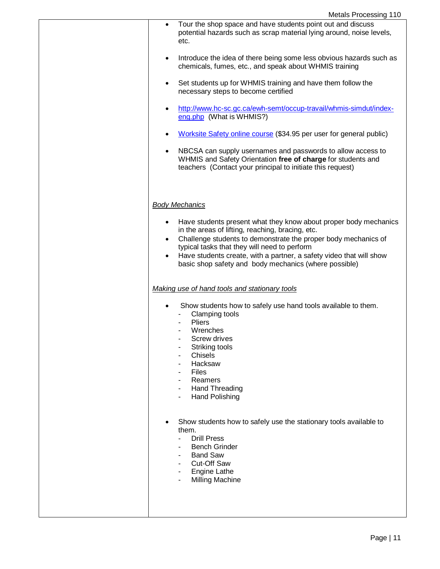| Tour the shop space and have students point out and discuss<br>٠<br>potential hazards such as scrap material lying around, noise levels,<br>etc.                                                                                                                                                                                                                            |
|-----------------------------------------------------------------------------------------------------------------------------------------------------------------------------------------------------------------------------------------------------------------------------------------------------------------------------------------------------------------------------|
| Introduce the idea of there being some less obvious hazards such as<br>$\bullet$<br>chemicals, fumes, etc., and speak about WHMIS training                                                                                                                                                                                                                                  |
| Set students up for WHMIS training and have them follow the<br>٠<br>necessary steps to become certified                                                                                                                                                                                                                                                                     |
| http://www.hc-sc.gc.ca/ewh-semt/occup-travail/whmis-simdut/index-<br>eng.php (What is WHMIS?)                                                                                                                                                                                                                                                                               |
| Worksite Safety online course (\$34.95 per user for general public)                                                                                                                                                                                                                                                                                                         |
| NBCSA can supply usernames and passwords to allow access to<br>$\bullet$<br>WHMIS and Safety Orientation free of charge for students and<br>teachers (Contact your principal to initiate this request)                                                                                                                                                                      |
| <b>Body Mechanics</b>                                                                                                                                                                                                                                                                                                                                                       |
| Have students present what they know about proper body mechanics<br>in the areas of lifting, reaching, bracing, etc.<br>Challenge students to demonstrate the proper body mechanics of<br>٠<br>typical tasks that they will need to perform<br>Have students create, with a partner, a safety video that will show<br>basic shop safety and body mechanics (where possible) |
| Making use of hand tools and stationary tools                                                                                                                                                                                                                                                                                                                               |
| Show students how to safely use hand tools available to them.<br>Clamping tools<br><b>Pliers</b><br>Wrenches<br>Screw drives<br>Striking tools<br><b>Chisels</b><br>Hacksaw<br><b>Files</b><br>Reamers<br><b>Hand Threading</b><br><b>Hand Polishing</b>                                                                                                                    |
| Show students how to safely use the stationary tools available to<br>them.<br><b>Drill Press</b><br><b>Bench Grinder</b><br><b>Band Saw</b><br>۰<br><b>Cut-Off Saw</b><br><b>Engine Lathe</b><br><b>Milling Machine</b>                                                                                                                                                     |
|                                                                                                                                                                                                                                                                                                                                                                             |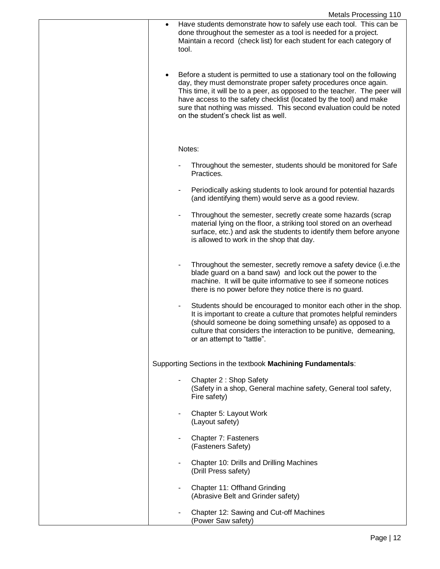| <b>Metals Processing 110</b>                                                                                                                                                                                                                                                                                                                                                                                 |
|--------------------------------------------------------------------------------------------------------------------------------------------------------------------------------------------------------------------------------------------------------------------------------------------------------------------------------------------------------------------------------------------------------------|
| Have students demonstrate how to safely use each tool. This can be<br>$\bullet$<br>done throughout the semester as a tool is needed for a project.<br>Maintain a record (check list) for each student for each category of<br>tool.                                                                                                                                                                          |
| Before a student is permitted to use a stationary tool on the following<br>day, they must demonstrate proper safety procedures once again.<br>This time, it will be to a peer, as opposed to the teacher. The peer will<br>have access to the safety checklist (located by the tool) and make<br>sure that nothing was missed. This second evaluation could be noted<br>on the student's check list as well. |
| Notes:                                                                                                                                                                                                                                                                                                                                                                                                       |
| Throughout the semester, students should be monitored for Safe<br>Practices.                                                                                                                                                                                                                                                                                                                                 |
| Periodically asking students to look around for potential hazards<br>$\qquad \qquad \blacksquare$<br>(and identifying them) would serve as a good review.                                                                                                                                                                                                                                                    |
| Throughout the semester, secretly create some hazards (scrap<br>٠<br>material lying on the floor, a striking tool stored on an overhead<br>surface, etc.) and ask the students to identify them before anyone<br>is allowed to work in the shop that day.                                                                                                                                                    |
| Throughout the semester, secretly remove a safety device (i.e.the<br>blade guard on a band saw) and lock out the power to the<br>machine. It will be quite informative to see if someone notices<br>there is no power before they notice there is no guard.                                                                                                                                                  |
| Students should be encouraged to monitor each other in the shop.<br>It is important to create a culture that promotes helpful reminders<br>(should someone be doing something unsafe) as opposed to a<br>culture that considers the interaction to be punitive, demeaning,<br>or an attempt to "tattle".                                                                                                     |
| Supporting Sections in the textbook Machining Fundamentals:                                                                                                                                                                                                                                                                                                                                                  |
| Chapter 2: Shop Safety<br>(Safety in a shop, General machine safety, General tool safety,<br>Fire safety)                                                                                                                                                                                                                                                                                                    |
| Chapter 5: Layout Work<br>(Layout safety)                                                                                                                                                                                                                                                                                                                                                                    |
| Chapter 7: Fasteners<br>٠<br>(Fasteners Safety)                                                                                                                                                                                                                                                                                                                                                              |
| Chapter 10: Drills and Drilling Machines<br>۰<br>(Drill Press safety)                                                                                                                                                                                                                                                                                                                                        |
| Chapter 11: Offhand Grinding<br>(Abrasive Belt and Grinder safety)                                                                                                                                                                                                                                                                                                                                           |
| Chapter 12: Sawing and Cut-off Machines<br>(Power Saw safety)                                                                                                                                                                                                                                                                                                                                                |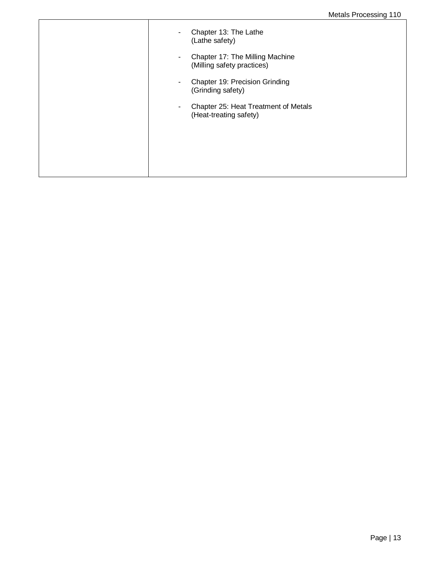| Chapter 13: The Lathe<br>$\overline{\phantom{a}}$<br>(Lathe safety)<br>Chapter 17: The Milling Machine<br>٠<br>(Milling safety practices)<br>Chapter 19: Precision Grinding<br>٠ |
|----------------------------------------------------------------------------------------------------------------------------------------------------------------------------------|
| (Grinding safety)<br>Chapter 25: Heat Treatment of Metals<br>٠<br>(Heat-treating safety)                                                                                         |
|                                                                                                                                                                                  |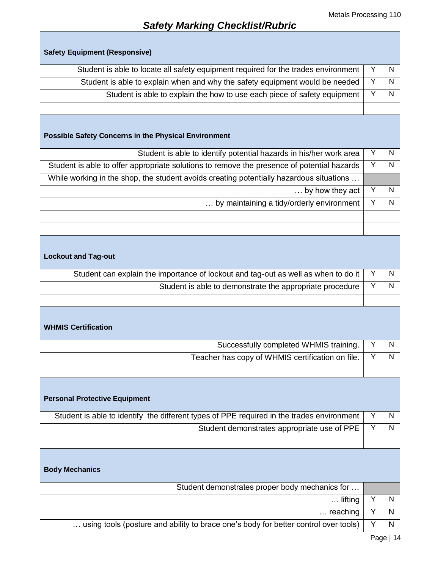ī

### *Safety Marking Checklist/Rubric*

 $\mathsf{I}$ 

| <b>Safety Equipment (Responsive)</b>                                                       |   |              |
|--------------------------------------------------------------------------------------------|---|--------------|
| Student is able to locate all safety equipment required for the trades environment         | Y | N            |
| Student is able to explain when and why the safety equipment would be needed               | Υ | N            |
| Student is able to explain the how to use each piece of safety equipment                   | Υ | N            |
|                                                                                            |   |              |
|                                                                                            |   |              |
| <b>Possible Safety Concerns in the Physical Environment</b>                                |   |              |
| Student is able to identify potential hazards in his/her work area                         | Y | N            |
| Student is able to offer appropriate solutions to remove the presence of potential hazards | Y | N            |
| While working in the shop, the student avoids creating potentially hazardous situations    |   |              |
| by how they act                                                                            | Υ | N            |
| by maintaining a tidy/orderly environment                                                  | Υ | $\mathsf{N}$ |
|                                                                                            |   |              |
|                                                                                            |   |              |
| <b>Lockout and Tag-out</b>                                                                 |   |              |
| Student can explain the importance of lockout and tag-out as well as when to do it         | Y | N            |
| Student is able to demonstrate the appropriate procedure                                   | Y | N            |
|                                                                                            |   |              |
| <b>WHMIS Certification</b>                                                                 |   |              |
| Successfully completed WHMIS training.                                                     | Y | N            |
| Teacher has copy of WHMIS certification on file.                                           | Υ | N            |
|                                                                                            |   |              |
| <b>Personal Protective Equipment</b>                                                       |   |              |
| Student is able to identify the different types of PPE required in the trades environment  | Y | N            |
| Student demonstrates appropriate use of PPE                                                | Y | N            |
|                                                                                            |   |              |
| <b>Body Mechanics</b>                                                                      |   |              |
| Student demonstrates proper body mechanics for                                             |   |              |
| lifting                                                                                    | Υ | N            |
| $\ldots$ reaching                                                                          | Y | N            |
| using tools (posture and ability to brace one's body for better control over tools)        | Y | N<br>Dao 111 |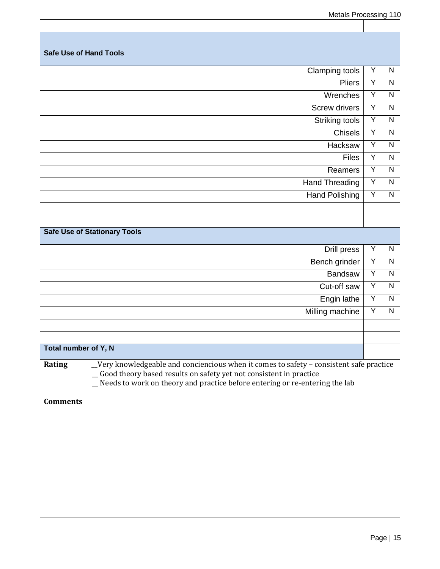Metals Processing 110

|                               | motalo i Toooonny                                                                       |   | .            |
|-------------------------------|-----------------------------------------------------------------------------------------|---|--------------|
|                               |                                                                                         |   |              |
|                               |                                                                                         |   |              |
| <b>Safe Use of Hand Tools</b> |                                                                                         |   |              |
|                               | <b>Clamping tools</b>                                                                   | Υ | $\mathsf{N}$ |
|                               | <b>Pliers</b>                                                                           | Υ | $\mathsf{N}$ |
|                               | Wrenches                                                                                | Y | $\mathsf{N}$ |
|                               | Screw drivers                                                                           | Υ | $\mathsf{N}$ |
|                               | Striking tools                                                                          | Υ | $\mathsf{N}$ |
|                               | <b>Chisels</b>                                                                          | Υ | $\mathsf{N}$ |
|                               | Hacksaw                                                                                 | Y | $\mathsf{N}$ |
|                               | <b>Files</b>                                                                            | Y | $\mathsf{N}$ |
|                               | Reamers                                                                                 | Y | $\mathsf{N}$ |
|                               | <b>Hand Threading</b>                                                                   | Υ | ${\sf N}$    |
|                               | <b>Hand Polishing</b>                                                                   | Υ | $\mathsf{N}$ |
|                               |                                                                                         |   |              |
|                               |                                                                                         |   |              |
|                               | <b>Safe Use of Stationary Tools</b>                                                     |   |              |
|                               | Drill press                                                                             | Υ | N            |
|                               | Bench grinder                                                                           | Y | $\mathsf{N}$ |
|                               | Bandsaw                                                                                 | Υ | $\mathsf{N}$ |
|                               | Cut-off saw                                                                             | Υ | $\mathsf{N}$ |
|                               | Engin lathe                                                                             | Υ | $\mathsf{N}$ |
|                               | Milling machine                                                                         | Υ | ${\sf N}$    |
|                               |                                                                                         |   |              |
|                               |                                                                                         |   |              |
| Total number of Y, N          |                                                                                         |   |              |
| Rating                        | _Very knowledgeable and conciencious when it comes to safety - consistent safe practice |   |              |
|                               | _Good theory based results on safety yet not consistent in practice                     |   |              |
|                               | _Needs to work on theory and practice before entering or re-entering the lab            |   |              |
| <b>Comments</b>               |                                                                                         |   |              |
|                               |                                                                                         |   |              |
|                               |                                                                                         |   |              |
|                               |                                                                                         |   |              |
|                               |                                                                                         |   |              |
|                               |                                                                                         |   |              |
|                               |                                                                                         |   |              |
|                               |                                                                                         |   |              |
|                               |                                                                                         |   |              |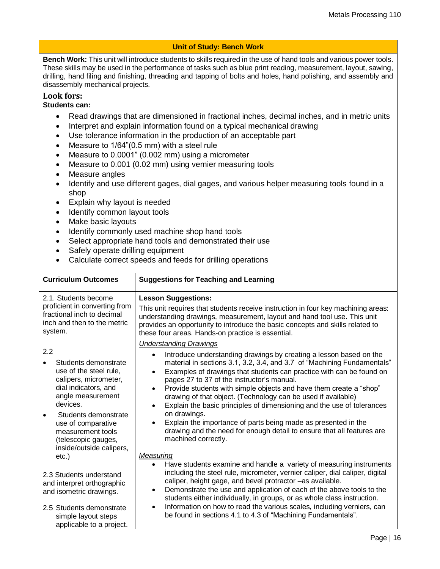### **Unit of Study: Bench Work**

**Bench Work:** This unit will introduce students to skills required in the use of hand tools and various power tools. These skills may be used in the performance of tasks such as blue print reading, measurement, layout, sawing, drilling, hand filing and finishing, threading and tapping of bolts and holes, hand polishing, and assembly and disassembly mechanical projects.

### **Look fors:**

### **Students can:**

- Read drawings that are dimensioned in fractional inches, decimal inches, and in metric units
- Interpret and explain information found on a typical mechanical drawing
- Use tolerance information in the production of an acceptable part
- Measure to 1/64"(0.5 mm) with a steel rule
- Measure to 0.0001" (0.002 mm) using a micrometer
- Measure to 0.001 (0.02 mm) using vernier measuring tools
- Measure angles
- Identify and use different gages, dial gages, and various helper measuring tools found in a shop
- Explain why layout is needed
- Identify common layout tools
- Make basic layouts
- Identify commonly used machine shop hand tools
- Select appropriate hand tools and demonstrated their use
- Safely operate drilling equipment
- Calculate correct speeds and feeds for drilling operations

| <b>Curriculum Outcomes</b>                                                                                                                                                                                                                                    | <b>Suggestions for Teaching and Learning</b>                                                                                                                                                                                                                                                                                                                                                                                                                                                                                                                                                                                                                                                                                |
|---------------------------------------------------------------------------------------------------------------------------------------------------------------------------------------------------------------------------------------------------------------|-----------------------------------------------------------------------------------------------------------------------------------------------------------------------------------------------------------------------------------------------------------------------------------------------------------------------------------------------------------------------------------------------------------------------------------------------------------------------------------------------------------------------------------------------------------------------------------------------------------------------------------------------------------------------------------------------------------------------------|
| 2.1. Students become<br>proficient in converting from<br>fractional inch to decimal<br>inch and then to the metric<br>system.                                                                                                                                 | <b>Lesson Suggestions:</b><br>This unit requires that students receive instruction in four key machining areas:<br>understanding drawings, measurement, layout and hand tool use. This unit<br>provides an opportunity to introduce the basic concepts and skills related to<br>these four areas. Hands-on practice is essential.<br><b>Understanding Drawings</b>                                                                                                                                                                                                                                                                                                                                                          |
| 2.2<br>Students demonstrate<br>use of the steel rule,<br>calipers, micrometer,<br>dial indicators, and<br>angle measurement<br>devices.<br>Students demonstrate<br>use of comparative<br>measurement tools<br>(telescopic gauges,<br>inside/outside calipers, | Introduce understanding drawings by creating a lesson based on the<br>material in sections 3.1, 3.2, 3.4, and 3.7 of "Machining Fundamentals"<br>Examples of drawings that students can practice with can be found on<br>$\bullet$<br>pages 27 to 37 of the instructor's manual.<br>Provide students with simple objects and have them create a "shop"<br>$\bullet$<br>drawing of that object. (Technology can be used if available)<br>Explain the basic principles of dimensioning and the use of tolerances<br>$\bullet$<br>on drawings.<br>Explain the importance of parts being made as presented in the<br>$\bullet$<br>drawing and the need for enough detail to ensure that all features are<br>machined correctly. |
| $etc.$ )<br>2.3 Students understand<br>and interpret orthographic<br>and isometric drawings.<br>2.5 Students demonstrate<br>simple layout steps<br>applicable to a project.                                                                                   | Measuring<br>Have students examine and handle a variety of measuring instruments<br>$\bullet$<br>including the steel rule, micrometer, vernier caliper, dial caliper, digital<br>caliper, height gage, and bevel protractor -as available.<br>Demonstrate the use and application of each of the above tools to the<br>$\bullet$<br>students either individually, in groups, or as whole class instruction.<br>Information on how to read the various scales, including verniers, can<br>be found in sections 4.1 to 4.3 of "Machining Fundamentals".                                                                                                                                                                       |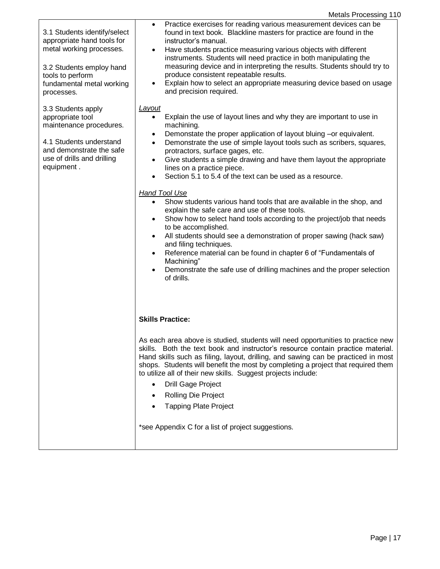|  | <b>Metals Processing 110</b> |  |
|--|------------------------------|--|
|--|------------------------------|--|

| 3.1 Students identify/select<br>appropriate hand tools for<br>metal working processes.<br>3.2 Students employ hand<br>tools to perform<br>fundamental metal working<br>processes. | Practice exercises for reading various measurement devices can be<br>$\bullet$<br>found in text book. Blackline masters for practice are found in the<br>instructor's manual.<br>Have students practice measuring various objects with different<br>$\bullet$<br>instruments. Students will need practice in both manipulating the<br>measuring device and in interpreting the results. Students should try to<br>produce consistent repeatable results.<br>Explain how to select an appropriate measuring device based on usage<br>$\bullet$<br>and precision required.                                                                                                                                                                                                                                                                                                                                                                                                                                                                                                                           |
|-----------------------------------------------------------------------------------------------------------------------------------------------------------------------------------|----------------------------------------------------------------------------------------------------------------------------------------------------------------------------------------------------------------------------------------------------------------------------------------------------------------------------------------------------------------------------------------------------------------------------------------------------------------------------------------------------------------------------------------------------------------------------------------------------------------------------------------------------------------------------------------------------------------------------------------------------------------------------------------------------------------------------------------------------------------------------------------------------------------------------------------------------------------------------------------------------------------------------------------------------------------------------------------------------|
| 3.3 Students apply<br>appropriate tool<br>maintenance procedures.<br>4.1 Students understand<br>and demonstrate the safe<br>use of drills and drilling<br>equipment.              | Layout<br>Explain the use of layout lines and why they are important to use in<br>$\bullet$<br>machining.<br>Demonstate the proper application of layout bluing -or equivalent.<br>$\bullet$<br>Demonstrate the use of simple layout tools such as scribers, squares,<br>$\bullet$<br>protractors, surface gages, etc.<br>Give students a simple drawing and have them layout the appropriate<br>$\bullet$<br>lines on a practice piece.<br>Section 5.1 to 5.4 of the text can be used as a resource.<br>$\bullet$<br><b>Hand Tool Use</b><br>Show students various hand tools that are available in the shop, and<br>$\bullet$<br>explain the safe care and use of these tools.<br>Show how to select hand tools according to the project/job that needs<br>$\bullet$<br>to be accomplished.<br>All students should see a demonstration of proper sawing (hack saw)<br>$\bullet$<br>and filing techniques.<br>Reference material can be found in chapter 6 of "Fundamentals of<br>$\bullet$<br>Machining"<br>Demonstrate the safe use of drilling machines and the proper selection<br>of drills. |
|                                                                                                                                                                                   | <b>Skills Practice:</b><br>As each area above is studied, students will need opportunities to practice new<br>skills. Both the text book and instructor's resource contain practice material.<br>Hand skills such as filing, layout, drilling, and sawing can be practiced in most<br>shops. Students will benefit the most by completing a project that required them<br>to utilize all of their new skills. Suggest projects include:<br><b>Drill Gage Project</b><br>Rolling Die Project<br><b>Tapping Plate Project</b><br>*see Appendix C for a list of project suggestions.                                                                                                                                                                                                                                                                                                                                                                                                                                                                                                                  |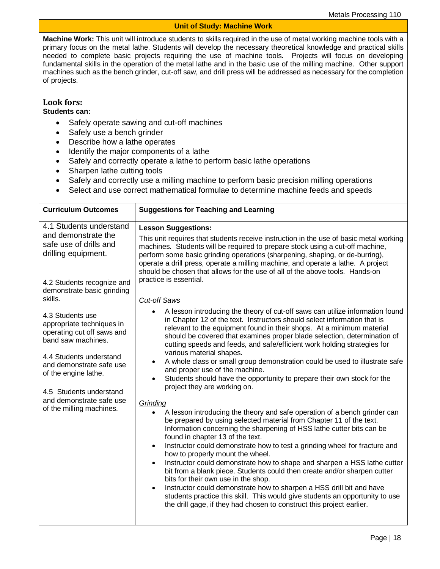### **Unit of Study: Machine Work**

**Machine Work:** This unit will introduce students to skills required in the use of metal working machine tools with a primary focus on the metal lathe. Students will develop the necessary theoretical knowledge and practical skills needed to complete basic projects requiring the use of machine tools. Projects will focus on developing fundamental skills in the operation of the metal lathe and in the basic use of the milling machine. Other support machines such as the bench grinder, cut-off saw, and drill press will be addressed as necessary for the completion of projects.

### **Look fors:**

### **Students can:**

- Safely operate sawing and cut-off machines
- Safely use a bench grinder
- Describe how a lathe operates
- Identify the major components of a lathe
- Safely and correctly operate a lathe to perform basic lathe operations
- Sharpen lathe cutting tools
- Safely and correctly use a milling machine to perform basic precision milling operations
- Select and use correct mathematical formulae to determine machine feeds and speeds

| 4.1 Students understand<br><b>Lesson Suggestions:</b><br>and demonstrate the<br>This unit requires that students receive instruction in the use of basic metal working<br>safe use of drills and<br>machines. Students will be required to prepare stock using a cut-off machine,<br>drilling equipment.<br>perform some basic grinding operations (sharpening, shaping, or de-burring),<br>operate a drill press, operate a milling machine, and operate a lathe. A project<br>should be chosen that allows for the use of all of the above tools. Hands-on<br>practice is essential.<br>4.2 Students recognize and<br>demonstrate basic grinding<br>skills.<br><b>Cut-off Saws</b><br>A lesson introducing the theory of cut-off saws can utilize information found<br>4.3 Students use<br>in Chapter 12 of the text. Instructors should select information that is<br>appropriate techniques in<br>relevant to the equipment found in their shops. At a minimum material<br>operating cut off saws and<br>should be covered that examines proper blade selection, determination of<br>band saw machines.<br>cutting speeds and feeds, and safe/efficient work holding strategies for<br>various material shapes.<br>4.4 Students understand<br>A whole class or small group demonstration could be used to illustrate safe<br>and demonstrate safe use<br>and proper use of the machine.<br>of the engine lathe.<br>Students should have the opportunity to prepare their own stock for the<br>$\bullet$<br>project they are working on.<br>4.5 Students understand<br>and demonstrate safe use<br>Grinding<br>of the milling machines.<br>A lesson introducing the theory and safe operation of a bench grinder can<br>be prepared by using selected material from Chapter 11 of the text.<br>Information concerning the sharpening of HSS lathe cutter bits can be<br>found in chapter 13 of the text.<br>Instructor could demonstrate how to test a grinding wheel for fracture and<br>$\bullet$<br>how to properly mount the wheel.<br>Instructor could demonstrate how to shape and sharpen a HSS lathe cutter<br>$\bullet$<br>bit from a blank piece. Students could then create and/or sharpen cutter<br>bits for their own use in the shop. | <b>Curriculum Outcomes</b> | <b>Suggestions for Teaching and Learning</b>                                      |  |  |  |
|--------------------------------------------------------------------------------------------------------------------------------------------------------------------------------------------------------------------------------------------------------------------------------------------------------------------------------------------------------------------------------------------------------------------------------------------------------------------------------------------------------------------------------------------------------------------------------------------------------------------------------------------------------------------------------------------------------------------------------------------------------------------------------------------------------------------------------------------------------------------------------------------------------------------------------------------------------------------------------------------------------------------------------------------------------------------------------------------------------------------------------------------------------------------------------------------------------------------------------------------------------------------------------------------------------------------------------------------------------------------------------------------------------------------------------------------------------------------------------------------------------------------------------------------------------------------------------------------------------------------------------------------------------------------------------------------------------------------------------------------------------------------------------------------------------------------------------------------------------------------------------------------------------------------------------------------------------------------------------------------------------------------------------------------------------------------------------------------------------------------------------------------------------------------------------------------------------------------------------------------------------|----------------------------|-----------------------------------------------------------------------------------|--|--|--|
|                                                                                                                                                                                                                                                                                                                                                                                                                                                                                                                                                                                                                                                                                                                                                                                                                                                                                                                                                                                                                                                                                                                                                                                                                                                                                                                                                                                                                                                                                                                                                                                                                                                                                                                                                                                                                                                                                                                                                                                                                                                                                                                                                                                                                                                        |                            |                                                                                   |  |  |  |
|                                                                                                                                                                                                                                                                                                                                                                                                                                                                                                                                                                                                                                                                                                                                                                                                                                                                                                                                                                                                                                                                                                                                                                                                                                                                                                                                                                                                                                                                                                                                                                                                                                                                                                                                                                                                                                                                                                                                                                                                                                                                                                                                                                                                                                                        |                            |                                                                                   |  |  |  |
| students practice this skill. This would give students an opportunity to use<br>the drill gage, if they had chosen to construct this project earlier.                                                                                                                                                                                                                                                                                                                                                                                                                                                                                                                                                                                                                                                                                                                                                                                                                                                                                                                                                                                                                                                                                                                                                                                                                                                                                                                                                                                                                                                                                                                                                                                                                                                                                                                                                                                                                                                                                                                                                                                                                                                                                                  |                            | Instructor could demonstrate how to sharpen a HSS drill bit and have<br>$\bullet$ |  |  |  |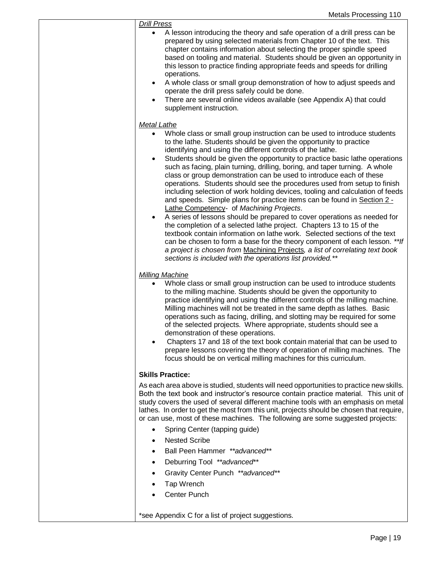| <b>Drill Press</b><br>A lesson introducing the theory and safe operation of a drill press can be<br>prepared by using selected materials from Chapter 10 of the text. This<br>chapter contains information about selecting the proper spindle speed<br>based on tooling and material. Students should be given an opportunity in<br>this lesson to practice finding appropriate feeds and speeds for drilling<br>operations.<br>A whole class or small group demonstration of how to adjust speeds and<br>$\bullet$<br>operate the drill press safely could be done.<br>There are several online videos available (see Appendix A) that could<br>$\bullet$<br>supplement instruction.                                                                                                                                                                                                                                                                                                                                                                                                                                                                                                                                                                          |
|----------------------------------------------------------------------------------------------------------------------------------------------------------------------------------------------------------------------------------------------------------------------------------------------------------------------------------------------------------------------------------------------------------------------------------------------------------------------------------------------------------------------------------------------------------------------------------------------------------------------------------------------------------------------------------------------------------------------------------------------------------------------------------------------------------------------------------------------------------------------------------------------------------------------------------------------------------------------------------------------------------------------------------------------------------------------------------------------------------------------------------------------------------------------------------------------------------------------------------------------------------------|
| <b>Metal Lathe</b><br>Whole class or small group instruction can be used to introduce students<br>$\bullet$<br>to the lathe. Students should be given the opportunity to practice<br>identifying and using the different controls of the lathe.<br>Students should be given the opportunity to practice basic lathe operations<br>$\bullet$<br>such as facing, plain turning, drilling, boring, and taper turning. A whole<br>class or group demonstration can be used to introduce each of these<br>operations. Students should see the procedures used from setup to finish<br>including selection of work holding devices, tooling and calculation of feeds<br>and speeds. Simple plans for practice items can be found in Section 2 -<br>Lathe Competency- of Machining Projects.<br>A series of lessons should be prepared to cover operations as needed for<br>$\bullet$<br>the completion of a selected lathe project. Chapters 13 to 15 of the<br>textbook contain information on lathe work. Selected sections of the text<br>can be chosen to form a base for the theory component of each lesson. **If<br>a project is chosen from Machining Projects, a list of correlating text book<br>sections is included with the operations list provided.** |
| <b>Milling Machine</b><br>Whole class or small group instruction can be used to introduce students<br>to the milling machine. Students should be given the opportunity to<br>practice identifying and using the different controls of the milling machine.<br>Milling machines will not be treated in the same depth as lathes. Basic<br>operations such as facing, drilling, and slotting may be required for some<br>of the selected projects. Where appropriate, students should see a<br>demonstration of these operations.<br>Chapters 17 and 18 of the text book contain material that can be used to<br>prepare lessons covering the theory of operation of milling machines. The<br>focus should be on vertical milling machines for this curriculum.                                                                                                                                                                                                                                                                                                                                                                                                                                                                                                  |
| <b>Skills Practice:</b>                                                                                                                                                                                                                                                                                                                                                                                                                                                                                                                                                                                                                                                                                                                                                                                                                                                                                                                                                                                                                                                                                                                                                                                                                                        |
| As each area above is studied, students will need opportunities to practice new skills.<br>Both the text book and instructor's resource contain practice material. This unit of<br>study covers the used of several different machine tools with an emphasis on metal<br>lathes. In order to get the most from this unit, projects should be chosen that require,<br>or can use, most of these machines. The following are some suggested projects:                                                                                                                                                                                                                                                                                                                                                                                                                                                                                                                                                                                                                                                                                                                                                                                                            |
| Spring Center (tapping guide)<br>$\bullet$<br><b>Nested Scribe</b>                                                                                                                                                                                                                                                                                                                                                                                                                                                                                                                                                                                                                                                                                                                                                                                                                                                                                                                                                                                                                                                                                                                                                                                             |
| Ball Peen Hammer ** advanced**                                                                                                                                                                                                                                                                                                                                                                                                                                                                                                                                                                                                                                                                                                                                                                                                                                                                                                                                                                                                                                                                                                                                                                                                                                 |
| Deburring Tool **advanced**                                                                                                                                                                                                                                                                                                                                                                                                                                                                                                                                                                                                                                                                                                                                                                                                                                                                                                                                                                                                                                                                                                                                                                                                                                    |
| Gravity Center Punch ** advanced**                                                                                                                                                                                                                                                                                                                                                                                                                                                                                                                                                                                                                                                                                                                                                                                                                                                                                                                                                                                                                                                                                                                                                                                                                             |
| Tap Wrench                                                                                                                                                                                                                                                                                                                                                                                                                                                                                                                                                                                                                                                                                                                                                                                                                                                                                                                                                                                                                                                                                                                                                                                                                                                     |
| <b>Center Punch</b>                                                                                                                                                                                                                                                                                                                                                                                                                                                                                                                                                                                                                                                                                                                                                                                                                                                                                                                                                                                                                                                                                                                                                                                                                                            |
|                                                                                                                                                                                                                                                                                                                                                                                                                                                                                                                                                                                                                                                                                                                                                                                                                                                                                                                                                                                                                                                                                                                                                                                                                                                                |
| *see Appendix C for a list of project suggestions.                                                                                                                                                                                                                                                                                                                                                                                                                                                                                                                                                                                                                                                                                                                                                                                                                                                                                                                                                                                                                                                                                                                                                                                                             |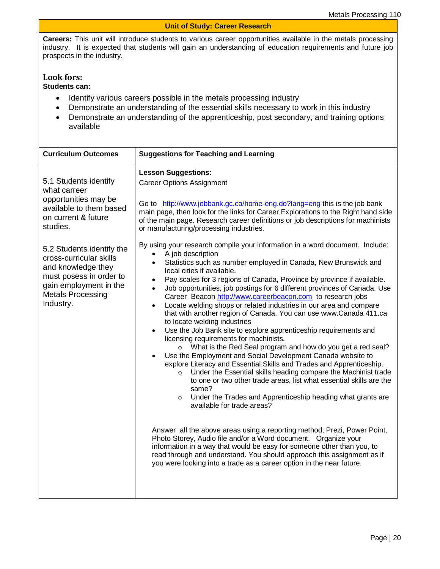#### **Unit of Study: Career Research**

**Careers:** This unit will introduce students to various career opportunities available in the metals processing industry. It is expected that students will gain an understanding of education requirements and future job prospects in the industry.

### **Look fors:**

**Students can:**

- Identify various careers possible in the metals processing industry
- Demonstrate an understanding of the essential skills necessary to work in this industry
- Demonstrate an understanding of the apprenticeship, post secondary, and training options available

| <b>Curriculum Outcomes</b>                                                                                                                                               | <b>Suggestions for Teaching and Learning</b>                                                                                                                                                                                                                                                                                                                                                                                                                                                                                                                                                                                                                                                                                                                                                                                                                                                                                                                                                                                                                                                                                                                                                                                                                                                                                                                                                                                                                                                                                                                                                                                                     |  |  |  |
|--------------------------------------------------------------------------------------------------------------------------------------------------------------------------|--------------------------------------------------------------------------------------------------------------------------------------------------------------------------------------------------------------------------------------------------------------------------------------------------------------------------------------------------------------------------------------------------------------------------------------------------------------------------------------------------------------------------------------------------------------------------------------------------------------------------------------------------------------------------------------------------------------------------------------------------------------------------------------------------------------------------------------------------------------------------------------------------------------------------------------------------------------------------------------------------------------------------------------------------------------------------------------------------------------------------------------------------------------------------------------------------------------------------------------------------------------------------------------------------------------------------------------------------------------------------------------------------------------------------------------------------------------------------------------------------------------------------------------------------------------------------------------------------------------------------------------------------|--|--|--|
| 5.1 Students identify<br>what carreer<br>opportunities may be<br>available to them based<br>on current & future<br>studies.                                              | <b>Lesson Suggestions:</b><br><b>Career Options Assignment</b><br>Go to http://www.jobbank.gc.ca/home-eng.do?lang=eng this is the job bank<br>main page, then look for the links for Career Explorations to the Right hand side<br>of the main page. Research career definitions or job descriptions for machinists<br>or manufacturing/processing industries.                                                                                                                                                                                                                                                                                                                                                                                                                                                                                                                                                                                                                                                                                                                                                                                                                                                                                                                                                                                                                                                                                                                                                                                                                                                                                   |  |  |  |
| 5.2 Students identify the<br>cross-curricular skills<br>and knowledge they<br>must posess in order to<br>gain employment in the<br><b>Metals Processing</b><br>Industry. | By using your research compile your information in a word document. Include:<br>A job description<br>Statistics such as number employed in Canada, New Brunswick and<br>$\bullet$<br>local cities if available.<br>Pay scales for 3 regions of Canada, Province by province if available.<br>Job opportunities, job postings for 6 different provinces of Canada. Use<br>$\bullet$<br>Career Beacon http://www.careerbeacon.com to research jobs<br>Locate welding shops or related industries in our area and compare<br>$\bullet$<br>that with another region of Canada. You can use www.Canada 411.ca<br>to locate welding industries<br>Use the Job Bank site to explore apprenticeship requirements and<br>$\bullet$<br>licensing requirements for machinists.<br>What is the Red Seal program and how do you get a red seal?<br>$\circ$<br>Use the Employment and Social Development Canada website to<br>$\bullet$<br>explore Literacy and Essential Skills and Trades and Apprenticeship.<br>Under the Essential skills heading compare the Machinist trade<br>$\circ$<br>to one or two other trade areas, list what essential skills are the<br>same?<br>Under the Trades and Apprenticeship heading what grants are<br>$\circ$<br>available for trade areas?<br>Answer all the above areas using a reporting method; Prezi, Power Point,<br>Photo Storey, Audio file and/or a Word document. Organize your<br>information in a way that would be easy for someone other than you, to<br>read through and understand. You should approach this assignment as if<br>you were looking into a trade as a career option in the near future. |  |  |  |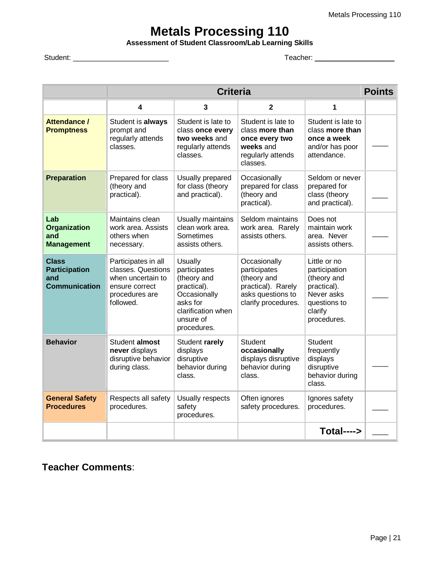### **Metals Processing 110**

**Assessment of Student Classroom/Lab Learning Skills** 

Student: \_\_\_\_\_\_\_\_\_\_\_\_\_\_\_\_\_\_\_\_\_\_\_\_ Teacher: \_\_\_\_\_\_\_\_\_\_\_\_\_\_\_\_\_\_\_\_

|                                                                     | <b>Criteria</b>                                                                                                 |                                                                                                                                            |                                                                                                               |                                                                                                                     |  |
|---------------------------------------------------------------------|-----------------------------------------------------------------------------------------------------------------|--------------------------------------------------------------------------------------------------------------------------------------------|---------------------------------------------------------------------------------------------------------------|---------------------------------------------------------------------------------------------------------------------|--|
|                                                                     | 4                                                                                                               | 3                                                                                                                                          | $\mathbf 2$                                                                                                   | 1                                                                                                                   |  |
| Attendance /<br><b>Promptness</b>                                   | Student is always<br>prompt and<br>regularly attends<br>classes.                                                | Student is late to<br>class once every<br>two weeks and<br>regularly attends<br>classes.                                                   | Student is late to<br>class more than<br>once every two<br>weeks and<br>regularly attends<br>classes.         | Student is late to<br>class more than<br>once a week<br>and/or has poor<br>attendance.                              |  |
| <b>Preparation</b>                                                  | Prepared for class<br>(theory and<br>practical).                                                                | Usually prepared<br>for class (theory<br>and practical).                                                                                   | Occasionally<br>prepared for class<br>(theory and<br>practical).                                              | Seldom or never<br>prepared for<br>class (theory<br>and practical).                                                 |  |
| Lab<br><b>Organization</b><br>and<br><b>Management</b>              | Maintains clean<br>work area. Assists<br>others when<br>necessary.                                              | Usually maintains<br>clean work area.<br>Sometimes<br>assists others.                                                                      | Seldom maintains<br>work area. Rarely<br>assists others.                                                      | Does not<br>maintain work<br>area. Never<br>assists others.                                                         |  |
| <b>Class</b><br><b>Participation</b><br>and<br><b>Communication</b> | Participates in all<br>classes. Questions<br>when uncertain to<br>ensure correct<br>procedures are<br>followed. | <b>Usually</b><br>participates<br>(theory and<br>practical).<br>Occasionally<br>asks for<br>clarification when<br>unsure of<br>procedures. | Occasionally<br>participates<br>(theory and<br>practical). Rarely<br>asks questions to<br>clarify procedures. | Little or no<br>participation<br>(theory and<br>practical).<br>Never asks<br>questions to<br>clarify<br>procedures. |  |
| <b>Behavior</b>                                                     | Student almost<br>never displays<br>disruptive behavior<br>during class.                                        | Student rarely<br>displays<br>disruptive<br>behavior during<br>class.                                                                      | <b>Student</b><br>occasionally<br>displays disruptive<br>behavior during<br>class.                            | Student<br>frequently<br>displays<br>disruptive<br>behavior during<br>class.                                        |  |
| <b>General Safety</b><br><b>Procedures</b>                          | Respects all safety<br>procedures.                                                                              | Usually respects<br>safety<br>procedures.                                                                                                  | Often ignores<br>safety procedures.                                                                           | Ignores safety<br>procedures.                                                                                       |  |
|                                                                     |                                                                                                                 |                                                                                                                                            |                                                                                                               | $Total---$                                                                                                          |  |

**Teacher Comments**: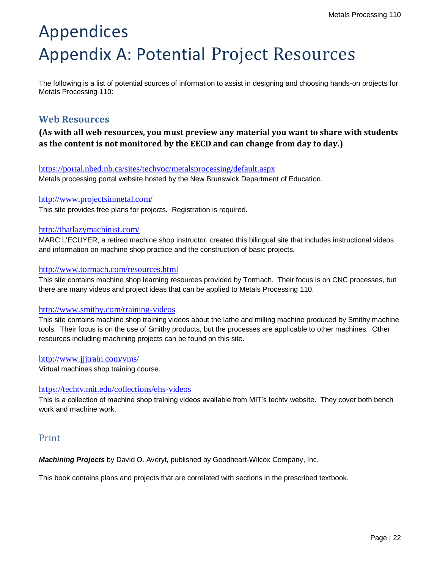# Appendices Appendix A: Potential Project Resources

The following is a list of potential sources of information to assist in designing and choosing hands-on projects for Metals Processing 110:

### **Web Resources**

### **(As with all web resources, you must preview any material you want to share with students as the content is not monitored by the EECD and can change from day to day.)**

### <https://portal.nbed.nb.ca/sites/techvoc/metalsprocessing/default.aspx>

Metals processing portal website hosted by the New Brunswick Department of Education.

### <http://www.projectsinmetal.com/>

This site provides free plans for projects. Registration is required.

### <http://thatlazymachinist.com/>

MARC L'ECUYER, a retired machine shop instructor, created this bilingual site that includes instructional videos and information on machine shop practice and the construction of basic projects.

### <http://www.tormach.com/resources.html>

This site contains machine shop learning resources provided by Tormach. Their focus is on CNC processes, but there are many videos and project ideas that can be applied to Metals Processing 110.

### <http://www.smithy.com/training-videos>

This site contains machine shop training videos about the lathe and milling machine produced by Smithy machine tools. Their focus is on the use of Smithy products, but the processes are applicable to other machines. Other resources including machining projects can be found on this site.

<http://www.jjjtrain.com/vms/>

Virtual machines shop training course.

### <https://techtv.mit.edu/collections/ehs-videos>

This is a collection of machine shop training videos available from MIT's techtv website. They cover both bench work and machine work.

### Print

*Machining Projects* by David O. Averyt, published by Goodheart-Wilcox Company, Inc.

This book contains plans and projects that are correlated with sections in the prescribed textbook.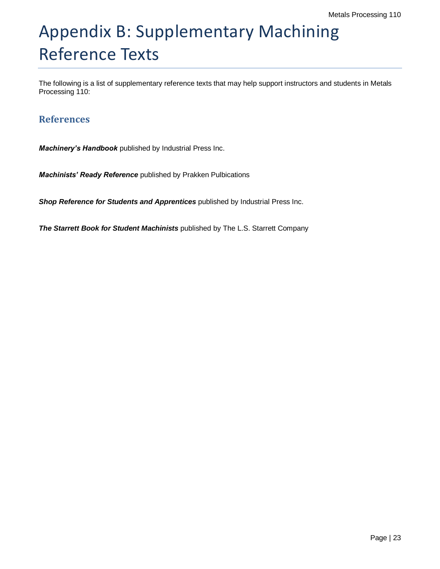# Appendix B: Supplementary Machining Reference Texts

The following is a list of supplementary reference texts that may help support instructors and students in Metals Processing 110:

### **References**

*Machinery's Handbook* published by Industrial Press Inc.

*Machinists' Ready Reference* published by Prakken Pulbications

**Shop Reference for Students and Apprentices** published by Industrial Press Inc.

*The Starrett Book for Student Machinists* published by The L.S. Starrett Company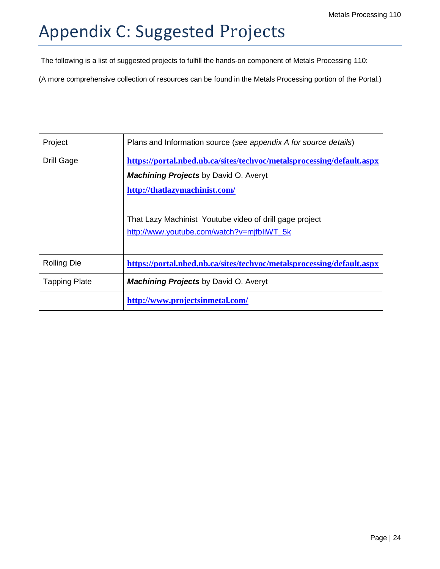# Appendix C: Suggested Projects

The following is a list of suggested projects to fulfill the hands-on component of Metals Processing 110:

(A more comprehensive collection of resources can be found in the Metals Processing portion of the Portal.)

| Project              | Plans and Information source (see appendix A for source details)      |  |  |  |  |
|----------------------|-----------------------------------------------------------------------|--|--|--|--|
| Drill Gage           | https://portal.nbed.nb.ca/sites/techyoc/metalsprocessing/default.aspx |  |  |  |  |
|                      | <b>Machining Projects by David O. Averyt</b>                          |  |  |  |  |
|                      | http://thatlazymachinist.com/                                         |  |  |  |  |
|                      |                                                                       |  |  |  |  |
|                      | That Lazy Machinist Youtube video of drill gage project               |  |  |  |  |
|                      | http://www.youtube.com/watch?v=mjfbliWT_5k                            |  |  |  |  |
|                      |                                                                       |  |  |  |  |
| <b>Rolling Die</b>   | https://portal.nbed.nb.ca/sites/techyoc/metalsprocessing/default.aspx |  |  |  |  |
| <b>Tapping Plate</b> | <b>Machining Projects by David O. Averyt</b>                          |  |  |  |  |
|                      | http://www.projectsinmetal.com/                                       |  |  |  |  |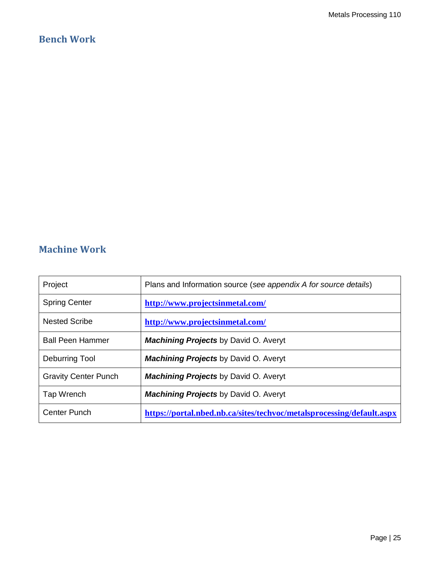### **Bench Work**

### **Machine Work**

| Project                     | Plans and Information source (see appendix A for source details)      |
|-----------------------------|-----------------------------------------------------------------------|
| <b>Spring Center</b>        | http://www.projectsinmetal.com/                                       |
| <b>Nested Scribe</b>        | http://www.projectsinmetal.com/                                       |
| <b>Ball Peen Hammer</b>     | <b>Machining Projects by David O. Averyt</b>                          |
| Deburring Tool              | <b>Machining Projects by David O. Averyt</b>                          |
| <b>Gravity Center Punch</b> | <b>Machining Projects by David O. Averyt</b>                          |
| Tap Wrench                  | <b>Machining Projects by David O. Averyt</b>                          |
| Center Punch                | https://portal.nbed.nb.ca/sites/techyoc/metalsprocessing/default.aspx |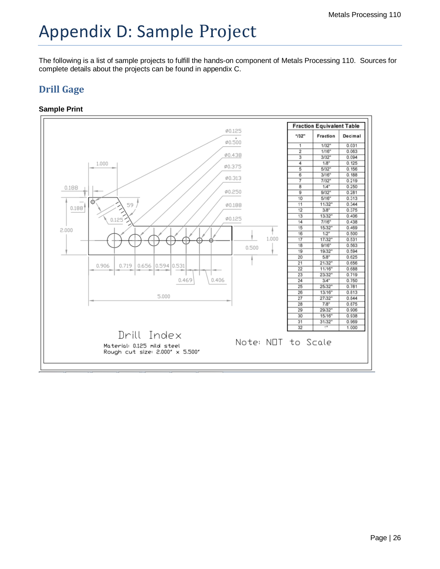# Appendix D: Sample Project

The following is a list of sample projects to fulfill the hands-on component of Metals Processing 110. Sources for complete details about the projects can be found in appendix C.

### **Drill Gage**

### **Sample Print**